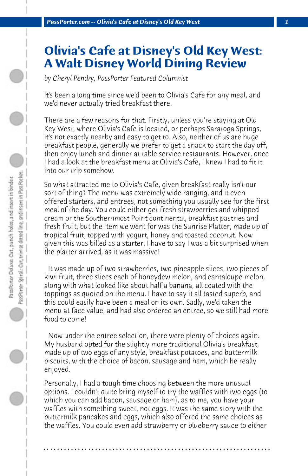## **Olivia's Cafe at Disney's Old Key West: A Walt Disney World Dining Review**

*by Cheryl Pendry, PassPorter Featured Columnist*

It's been a long time since we'd been to Olivia's Cafe for any meal, and we'd never actually tried breakfast there.

There are a few reasons for that. Firstly, unless you're staying at Old Key West, where Olivia's Cafe is located, or perhaps Saratoga Springs, it's not exactly nearby and easy to get to. Also, neither of us are huge breakfast people, generally we prefer to get a snack to start the day off, then enjoy lunch and dinner at table service restaurants. However, once I had a look at the breakfast menu at Olivia's Cafe, I knew I had to fit it into our trip somehow.

So what attracted me to Olivia's Cafe, given breakfast really isn't our sort of thing? The menu was extremely wide ranging, and it even offered starters, and entrees, not something you usually see for the first meal of the day. You could either get fresh strawberries and whipped cream or the Southernmost Point continental, breakfast pastries and fresh fruit, but the item we went for was the Sunrise Platter, made up of tropical fruit, topped with yogurt, honey and toasted coconut. Now given this was billed as a starter, I have to say I was a bit surprised when the platter arrived, as it was massive!

 It was made up of two strawberries, two pineapple slices, two pieces of kiwi fruit, three slices each of honeydew melon, and cantaloupe melon, along with what looked like about half a banana, all coated with the toppings as quoted on the menu. I have to say it all tasted superb, and this could easily have been a meal on its own. Sadly, we'd taken the menu at face value, and had also ordered an entree, so we still had more food to come!

 Now under the entree selection, there were plenty of choices again. My husband opted for the slightly more traditional Olivia's breakfast, made up of two eggs of any style, breakfast potatoes, and buttermilk biscuits, with the choice of bacon, sausage and ham, which he really enjoyed.

Personally, I had a tough time choosing between the more unusual options. I couldn't quite bring myself to try the waffles with two eggs (to which you can add bacon, sausage or ham), as to me, you have your waffles with something sweet, not eggs. It was the same story with the buttermilk pancakes and eggs, which also offered the same choices as the waffles. You could even add strawberry or blueberry sauce to either

**. . . . . . . . . . . . . . . . . . . . . . . . . . . . . . . . . . . . . . . . . . . . . . . . . . . . . . . . . . . . . . . . . .**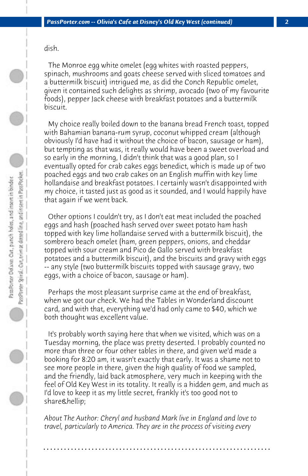dish.

 The Monroe egg white omelet (egg whites with roasted peppers, spinach, mushrooms and goats cheese served with sliced tomatoes and a buttermilk biscuit) intrigued me, as did the Conch Republic omelet, given it contained such delights as shrimp, avocado (two of my favourite foods), pepper Jack cheese with breakfast potatoes and a buttermilk biscuit.

 My choice really boiled down to the banana bread French toast, topped with Bahamian banana-rum syrup, coconut whipped cream (although obviously I'd have had it without the choice of bacon, sausage or ham), but tempting as that was, it really would have been a sweet overload and so early in the morning, I didn't think that was a good plan, so I eventually opted for crab cakes eggs benedict, which is made up of two poached eggs and two crab cakes on an English muffin with key lime hollandaise and breakfast potatoes. I certainly wasn't disappointed with my choice, it tasted just as good as it sounded, and I would happily have that again if we went back.

 Other options I couldn't try, as I don't eat meat included the poached eggs and hash (poached hash served over sweet potato ham hash topped with key lime hollandaise served with a buttermilk biscuit), the sombrero beach omelet (ham, green peppers, onions, and cheddar topped with sour cream and Pico de Gallo served with breakfast potatoes and a buttermilk biscuit), and the biscuits and gravy with eggs -- any style (two buttermilk biscuits topped with sausage gravy, two eggs, with a choice of bacon, sausage or ham).

 Perhaps the most pleasant surprise came at the end of breakfast, when we got our check. We had the Tables in Wonderland discount card, and with that, everything we'd had only came to \$40, which we both thought was excellent value.

 It's probably worth saying here that when we visited, which was on a Tuesday morning, the place was pretty deserted. I probably counted no more than three or four other tables in there, and given we'd made a booking for 8:20 am, it wasn't exactly that early. It was a shame not to see more people in there, given the high quality of food we sampled, and the friendly, laid back atmosphere, very much in keeping with the feel of Old Key West in its totality. It really is a hidden gem, and much as I'd love to keep it as my little secret, frankly it's too good not to share…

*About The Author: Cheryl and husband Mark live in England and love to travel, particularly to America. They are in the process of visiting every*

**. . . . . . . . . . . . . . . . . . . . . . . . . . . . . . . . . . . . . . . . . . . . . . . . . . . . . . . . . . . . . . . . . .**